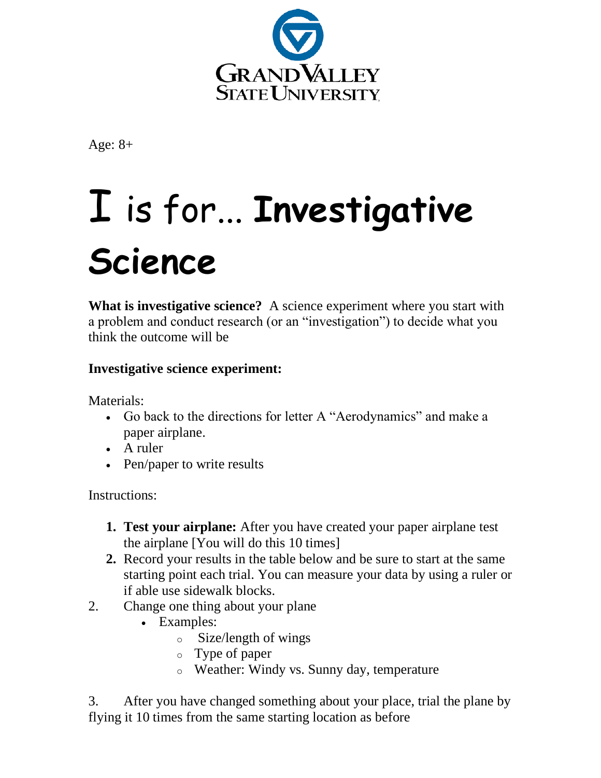

Age: 8+

# I is for... **Investigative Science**

**What is investigative science?** A science experiment where you start with a problem and conduct research (or an "investigation") to decide what you think the outcome will be

# **Investigative science experiment:**

Materials:

- Go back to the directions for letter A "Aerodynamics" and make a paper airplane.
- A ruler
- Pen/paper to write results

Instructions:

- **1. Test your airplane:** After you have created your paper airplane test the airplane [You will do this 10 times]
- **2.** Record your results in the table below and be sure to start at the same starting point each trial. You can measure your data by using a ruler or if able use sidewalk blocks.
- 2. Change one thing about your plane
	- Examples:
		- o Size/length of wings
		- o Type of paper
		- o Weather: Windy vs. Sunny day, temperature

3. After you have changed something about your place, trial the plane by flying it 10 times from the same starting location as before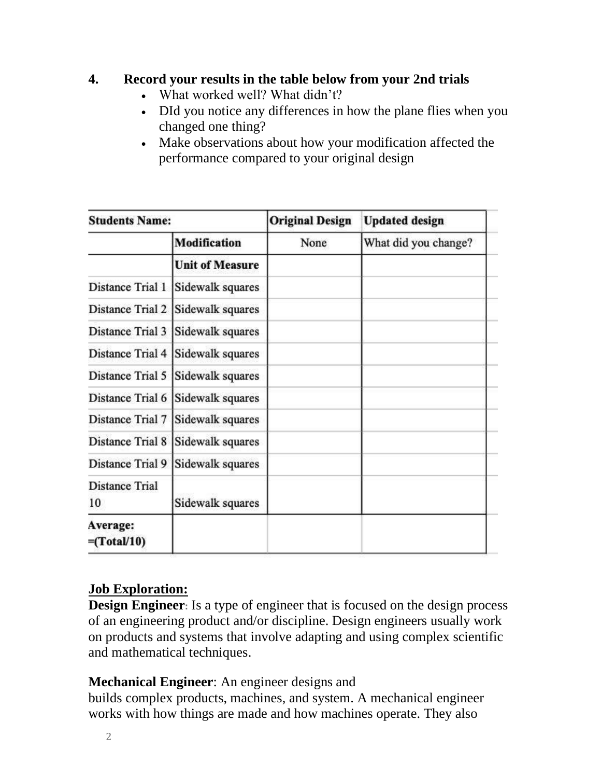## **4. Record your results in the table below from your 2nd trials**

- What worked well? What didn't?
- DId you notice any differences in how the plane flies when you changed one thing?
- Make observations about how your modification affected the performance compared to your original design

| <b>Students Name:</b>            |                        | <b>Original Design</b> | <b>Updated design</b> |
|----------------------------------|------------------------|------------------------|-----------------------|
|                                  | <b>Modification</b>    | None                   | What did you change?  |
|                                  | <b>Unit of Measure</b> |                        |                       |
| Distance Trial 1                 | Sidewalk squares       |                        |                       |
| Distance Trial 2                 | Sidewalk squares       |                        |                       |
| Distance Trial 3                 | Sidewalk squares       |                        |                       |
| Distance Trial 4                 | Sidewalk squares       |                        |                       |
| Distance Trial 5                 | Sidewalk squares       |                        |                       |
| Distance Trial 6                 | Sidewalk squares       |                        |                       |
| Distance Trial 7                 | Sidewalk squares       |                        |                       |
| <b>Distance Trial 8</b>          | Sidewalk squares       |                        |                       |
| Distance Trial 9                 | Sidewalk squares       |                        |                       |
| <b>Distance Trial</b><br>10      | Sidewalk squares       |                        |                       |
| Average:<br>$=(\text{Total}/10)$ |                        |                        |                       |

## **Job Exploration:**

**Design Engineer:** Is a type of engineer that is focused on the design process of an engineering product and/or discipline. Design engineers usually work on products and systems that involve adapting and using complex scientific and mathematical techniques.

## **Mechanical Engineer**: An engineer designs and

builds complex products, machines, and system. A mechanical engineer works with how things are made and how machines operate. They also